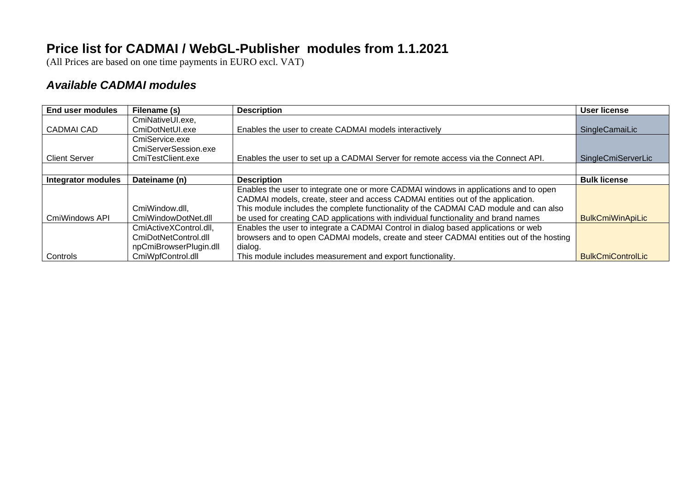## **Price list for CADMAI / WebGL-Publisher modules from 1.1.2021**

(All Prices are based on one time payments in EURO excl. VAT)

## *Available CADMAI modules*

| <b>End user modules</b>   | Filename (s)           | <b>Description</b>                                                                      | User license             |
|---------------------------|------------------------|-----------------------------------------------------------------------------------------|--------------------------|
|                           | CmiNativeUI.exe,       |                                                                                         |                          |
| CADMAI CAD                | CmiDotNetUI.exe        | Enables the user to create CADMAI models interactively                                  | SingleCamaiLic           |
|                           | CmiService.exe         |                                                                                         |                          |
|                           | CmiServerSession.exe   |                                                                                         |                          |
| Client Server             | CmiTestClient.exe      | Enables the user to set up a CADMAI Server for remote access via the Connect API.       | SingleCmiServerLic       |
|                           |                        |                                                                                         |                          |
| <b>Integrator modules</b> | Dateiname (n)          | <b>Description</b>                                                                      | <b>Bulk license</b>      |
|                           |                        | Enables the user to integrate one or more CADMAI windows in applications and to open    |                          |
|                           |                        | CADMAI models, create, steer and access CADMAI entities out of the application.         |                          |
|                           | CmiWindow.dll,         | This module includes the complete functionality of the CADMAI CAD module and can also   |                          |
| CmiWindows API            | CmiWindowDotNet.dll    | be used for creating CAD applications with individual functionality and brand names     | <b>BulkCmiWinApiLic</b>  |
|                           | CmiActiveXControl.dll, | Enables the user to integrate a CADMAI Control in dialog based applications or web      |                          |
|                           | CmiDotNetControl.dll   | browsers and to open CADMAI models, create and steer CADMAI entities out of the hosting |                          |
|                           | npCmiBrowserPlugin.dll | dialog.                                                                                 |                          |
| Controls                  | CmiWpfControl.dll      | This module includes measurement and export functionality.                              | <b>BulkCmiControlLic</b> |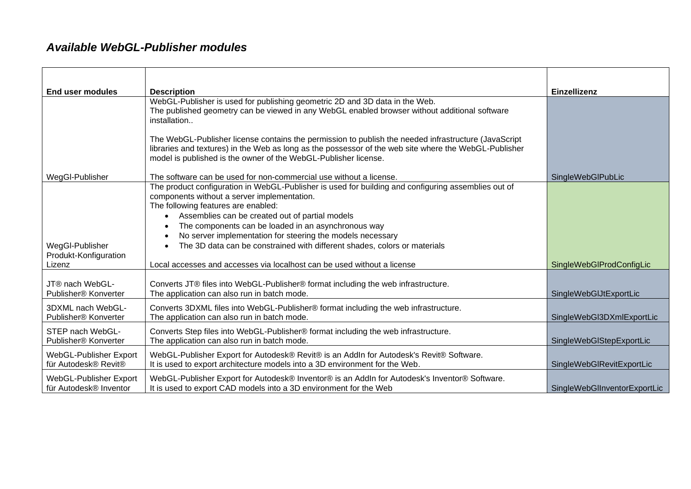#### *Available WebGL-Publisher modules*

| <b>End user modules</b>                               | <b>Description</b>                                                                                                                                                                                                                                                                                   | Einzellizenz                    |
|-------------------------------------------------------|------------------------------------------------------------------------------------------------------------------------------------------------------------------------------------------------------------------------------------------------------------------------------------------------------|---------------------------------|
|                                                       | WebGL-Publisher is used for publishing geometric 2D and 3D data in the Web.<br>The published geometry can be viewed in any WebGL enabled browser without additional software<br>installation<br>The WebGL-Publisher license contains the permission to publish the needed infrastructure (JavaScript |                                 |
|                                                       | libraries and textures) in the Web as long as the possessor of the web site where the WebGL-Publisher<br>model is published is the owner of the WebGL-Publisher license.                                                                                                                             |                                 |
| WegGI-Publisher                                       | The software can be used for non-commercial use without a license.                                                                                                                                                                                                                                   | SingleWebGlPubLic               |
|                                                       | The product configuration in WebGL-Publisher is used for building and configuring assemblies out of<br>components without a server implementation.                                                                                                                                                   |                                 |
|                                                       | The following features are enabled:                                                                                                                                                                                                                                                                  |                                 |
|                                                       | Assemblies can be created out of partial models                                                                                                                                                                                                                                                      |                                 |
|                                                       | The components can be loaded in an asynchronous way                                                                                                                                                                                                                                                  |                                 |
|                                                       | No server implementation for steering the models necessary                                                                                                                                                                                                                                           |                                 |
| WegGI-Publisher                                       | The 3D data can be constrained with different shades, colors or materials                                                                                                                                                                                                                            |                                 |
| Produkt-Konfiguration<br>Lizenz                       | Local accesses and accesses via localhost can be used without a license                                                                                                                                                                                                                              | <b>SingleWebGIProdConfigLic</b> |
| JT® nach WebGL-<br>Publisher® Konverter               | Converts JT® files into WebGL-Publisher® format including the web infrastructure.<br>The application can also run in batch mode.                                                                                                                                                                     | SingleWebGIJtExportLic          |
| 3DXML nach WebGL-<br>Publisher <sup>®</sup> Konverter | Converts 3DXML files into WebGL-Publisher® format including the web infrastructure.<br>The application can also run in batch mode.                                                                                                                                                                   | SingleWebGI3DXmlExportLic       |
| STEP nach WebGL-<br>Publisher® Konverter              | Converts Step files into WebGL-Publisher® format including the web infrastructure.<br>The application can also run in batch mode.                                                                                                                                                                    | SingleWebGIStepExportLic        |
| WebGL-Publisher Export<br>für Autodesk® Revit®        | WebGL-Publisher Export for Autodesk® Revit® is an AddIn for Autodesk's Revit® Software.<br>It is used to export architecture models into a 3D environment for the Web.                                                                                                                               | SingleWebGlRevitExportLic       |
| WebGL-Publisher Export<br>für Autodesk® Inventor      | WebGL-Publisher Export for Autodesk® Inventor® is an AddIn for Autodesk's Inventor® Software.<br>It is used to export CAD models into a 3D environment for the Web                                                                                                                                   | SingleWebGIInventorExportLic    |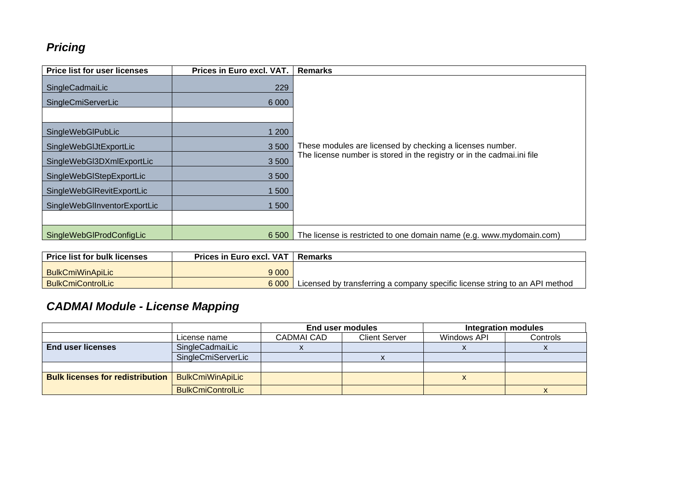# *Pricing*

| <b>Price list for user licenses</b> | Prices in Euro excl. VAT. | <b>Remarks</b>                                                         |
|-------------------------------------|---------------------------|------------------------------------------------------------------------|
| SingleCadmaiLic                     | 229                       |                                                                        |
| SingleCmiServerLic                  | 6 0 0 0                   |                                                                        |
|                                     |                           |                                                                        |
| SingleWebGlPubLic                   | 1 200                     |                                                                        |
| SingleWebGIJtExportLic              | 3500                      | These modules are licensed by checking a licenses number.              |
| SingleWebGI3DXmlExportLic           | 3500                      | The license number is stored in the registry or in the cadmai.ini file |
| SingleWebGlStepExportLic            | 3500                      |                                                                        |
| SingleWebGlRevitExportLic           | 1 500                     |                                                                        |
| SingleWebGlInventorExportLic        | 1500                      |                                                                        |
|                                     |                           |                                                                        |
| SingleWebGIProdConfigLic            | 6 500                     | The license is restricted to one domain name (e.g. www.mydomain.com)   |

| <b>Price list for bulk licenses</b> | Prices in Euro excl. VAT   Remarks |                                                                             |
|-------------------------------------|------------------------------------|-----------------------------------------------------------------------------|
| BulkCmiWinApiLic                    | 9 0 0 0                            |                                                                             |
| <b>BulkCmiControlLic</b>            | 6 000                              | Licensed by transferring a company specific license string to an API method |

# *CADMAI Module - License Mapping*

|                                         |                          | <b>End user modules</b> |                      | <b>Integration modules</b> |          |
|-----------------------------------------|--------------------------|-------------------------|----------------------|----------------------------|----------|
|                                         | License name             | CADMAI CAD              | <b>Client Server</b> | Windows API                | Controls |
| <b>End user licenses</b>                | SingleCadmaiLic          |                         |                      |                            |          |
|                                         | SingleCmiServerLic       |                         |                      |                            |          |
|                                         |                          |                         |                      |                            |          |
| <b>Bulk licenses for redistribution</b> | <b>BulkCmiWinApiLic</b>  |                         |                      | $\lambda$                  |          |
|                                         | <b>BulkCmiControlLic</b> |                         |                      |                            |          |